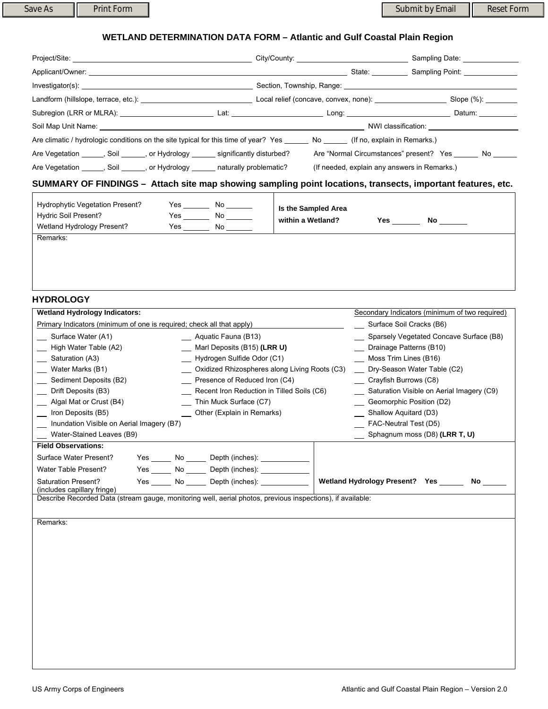## **WETLAND DETERMINATION DATA FORM – Atlantic and Gulf Coastal Plain Region**

| Investigator(s):                                                                                                                 |                                                                                                                                                         |                                              |            |            |  |  |
|----------------------------------------------------------------------------------------------------------------------------------|---------------------------------------------------------------------------------------------------------------------------------------------------------|----------------------------------------------|------------|------------|--|--|
|                                                                                                                                  |                                                                                                                                                         |                                              |            |            |  |  |
|                                                                                                                                  |                                                                                                                                                         |                                              |            |            |  |  |
|                                                                                                                                  |                                                                                                                                                         |                                              |            |            |  |  |
| Are climatic / hydrologic conditions on the site typical for this time of year? Yes ______ No _____ (If no, explain in Remarks.) |                                                                                                                                                         |                                              |            |            |  |  |
| Are Vegetation _______, Soil _______, or Hydrology _______ significantly disturbed?                                              |                                                                                                                                                         | Are "Normal Circumstances" present? Yes No   |            |            |  |  |
| Are Vegetation _______, Soil _______, or Hydrology _______ naturally problematic?                                                |                                                                                                                                                         | (If needed, explain any answers in Remarks.) |            |            |  |  |
| SUMMARY OF FINDINGS - Attach site map showing sampling point locations, transects, important features, etc.                      |                                                                                                                                                         |                                              |            |            |  |  |
| <b>Hydrophytic Vegetation Present?</b><br>Hydric Soil Present?<br>Wetland Hydrology Present?                                     | <b>Particle Structure Structure Structure Structure Structure Structure Structure Structure Structure Structure</b><br>$Yes$ No $\_\_\_\_\_\$<br>Yes No | Is the Sampled Area<br>within a Wetland?     | <b>Yes</b> | No _______ |  |  |

Remarks:

## **HYDROLOGY**

| <b>Wetland Hydrology Indicators:</b>                                                                                                      |                                                        |                          | Secondary Indicators (minimum of two required) |  |  |  |
|-------------------------------------------------------------------------------------------------------------------------------------------|--------------------------------------------------------|--------------------------|------------------------------------------------|--|--|--|
| Primary Indicators (minimum of one is required; check all that apply)                                                                     |                                                        | Surface Soil Cracks (B6) |                                                |  |  |  |
| Surface Water (A1)<br>Aquatic Fauna (B13)                                                                                                 |                                                        |                          | Sparsely Vegetated Concave Surface (B8)        |  |  |  |
| High Water Table (A2)                                                                                                                     | Marl Deposits (B15) (LRR U)                            |                          | Drainage Patterns (B10)                        |  |  |  |
| __ Saturation (A3)                                                                                                                        | Hydrogen Sulfide Odor (C1)                             |                          | Moss Trim Lines (B16)                          |  |  |  |
| Water Marks (B1)                                                                                                                          | Oxidized Rhizospheres along Living Roots (C3)          |                          | Dry-Season Water Table (C2)                    |  |  |  |
| Sediment Deposits (B2)                                                                                                                    | Presence of Reduced Iron (C4)                          |                          | Crayfish Burrows (C8)                          |  |  |  |
| Drift Deposits (B3)                                                                                                                       | Recent Iron Reduction in Tilled Soils (C6)             |                          | Saturation Visible on Aerial Imagery (C9)      |  |  |  |
| Algal Mat or Crust (B4)                                                                                                                   | Thin Muck Surface (C7)                                 |                          | Geomorphic Position (D2)                       |  |  |  |
| Iron Deposits (B5)                                                                                                                        | Other (Explain in Remarks)                             |                          | Shallow Aquitard (D3)                          |  |  |  |
| Inundation Visible on Aerial Imagery (B7)                                                                                                 |                                                        |                          | FAC-Neutral Test (D5)                          |  |  |  |
| Water-Stained Leaves (B9)                                                                                                                 |                                                        |                          | $\sum$ Sphagnum moss (D8) (LRR T, U)           |  |  |  |
| <b>Field Observations:</b>                                                                                                                |                                                        |                          |                                                |  |  |  |
| Surface Water Present?                                                                                                                    | Yes ________ No _______ Depth (inches): ______________ |                          |                                                |  |  |  |
| Water Table Present?                                                                                                                      | Yes No Depth (inches):                                 |                          |                                                |  |  |  |
| <b>Saturation Present?</b>                                                                                                                | Yes ________ No _______ Depth (inches): ______________ |                          | Wetland Hydrology Present? Yes _____<br>No l   |  |  |  |
| (includes capillary fringe)<br>Describe Recorded Data (stream gauge, monitoring well, aerial photos, previous inspections), if available: |                                                        |                          |                                                |  |  |  |
|                                                                                                                                           |                                                        |                          |                                                |  |  |  |
| Remarks:                                                                                                                                  |                                                        |                          |                                                |  |  |  |
|                                                                                                                                           |                                                        |                          |                                                |  |  |  |
|                                                                                                                                           |                                                        |                          |                                                |  |  |  |
|                                                                                                                                           |                                                        |                          |                                                |  |  |  |
|                                                                                                                                           |                                                        |                          |                                                |  |  |  |
|                                                                                                                                           |                                                        |                          |                                                |  |  |  |
|                                                                                                                                           |                                                        |                          |                                                |  |  |  |
|                                                                                                                                           |                                                        |                          |                                                |  |  |  |
|                                                                                                                                           |                                                        |                          |                                                |  |  |  |
|                                                                                                                                           |                                                        |                          |                                                |  |  |  |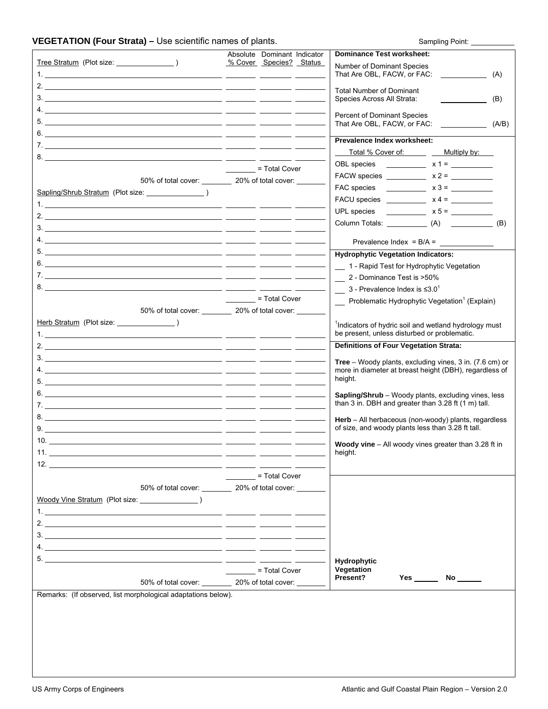## VEGETATION (Four Strata) – Use scientific names of plants. Sampling Point: \_\_\_\_\_\_\_\_\_\_\_\_

|                                                               | Absolute Dominant Indicator                              | <b>Dominance Test worksheet:</b>                                                                                  |
|---------------------------------------------------------------|----------------------------------------------------------|-------------------------------------------------------------------------------------------------------------------|
|                                                               | % Cover Species? Status                                  | Number of Dominant Species<br>That Are OBL, FACW, or FAC:<br>(A)                                                  |
|                                                               |                                                          | <b>Total Number of Dominant</b><br>Species Across All Strata:<br>(B)                                              |
|                                                               |                                                          | <b>Percent of Dominant Species</b><br>That Are OBL, FACW, or FAC:<br>(A/B)                                        |
|                                                               |                                                          |                                                                                                                   |
|                                                               |                                                          | Prevalence Index worksheet:                                                                                       |
|                                                               |                                                          | Total % Cover of: Protocology<br>Multiply by:                                                                     |
|                                                               | = Total Cover                                            |                                                                                                                   |
|                                                               | 50% of total cover: __________ 20% of total cover: _____ | FACW species _____________ $x 2 =$ __________                                                                     |
|                                                               |                                                          |                                                                                                                   |
|                                                               |                                                          |                                                                                                                   |
|                                                               |                                                          |                                                                                                                   |
|                                                               |                                                          | Column Totals: (A) (B)                                                                                            |
|                                                               |                                                          | Prevalence Index = $B/A =$                                                                                        |
|                                                               |                                                          | <b>Hydrophytic Vegetation Indicators:</b>                                                                         |
|                                                               |                                                          | 1 - Rapid Test for Hydrophytic Vegetation                                                                         |
|                                                               |                                                          | 2 - Dominance Test is >50%                                                                                        |
|                                                               |                                                          | $\frac{1}{2}$ 3 - Prevalence Index is $\leq 3.0^1$                                                                |
|                                                               | = Total Cover                                            | Problematic Hydrophytic Vegetation <sup>1</sup> (Explain)                                                         |
|                                                               | 50% of total cover: 20% of total cover: 20%              |                                                                                                                   |
|                                                               |                                                          | <sup>1</sup> Indicators of hydric soil and wetland hydrology must<br>be present, unless disturbed or problematic. |
|                                                               |                                                          | <b>Definitions of Four Vegetation Strata:</b>                                                                     |
|                                                               |                                                          | <b>Tree</b> – Woody plants, excluding vines, 3 in. (7.6 cm) or                                                    |
|                                                               |                                                          | more in diameter at breast height (DBH), regardless of                                                            |
|                                                               |                                                          | height.                                                                                                           |
|                                                               |                                                          | <b>Sapling/Shrub</b> – Woody plants, excluding vines, less<br>than 3 in. DBH and greater than 3.28 ft (1 m) tall. |
|                                                               |                                                          | Herb - All herbaceous (non-woody) plants, regardless                                                              |
|                                                               |                                                          | of size, and woody plants less than 3.28 ft tall.                                                                 |
|                                                               |                                                          | <b>Woody vine</b> – All woody vines greater than 3.28 ft in<br>height.                                            |
|                                                               |                                                          |                                                                                                                   |
|                                                               | = Total Cover                                            |                                                                                                                   |
|                                                               | 50% of total cover: 20% of total cover:                  |                                                                                                                   |
| Woody Vine Stratum (Plot size: and a stratum of the size:     |                                                          |                                                                                                                   |
|                                                               |                                                          |                                                                                                                   |
|                                                               |                                                          |                                                                                                                   |
|                                                               |                                                          |                                                                                                                   |
|                                                               |                                                          |                                                                                                                   |
|                                                               | = Total Cover                                            | Hydrophytic<br>Vegetation                                                                                         |
|                                                               | 50% of total cover: 20% of total cover:                  | Present?<br><b>Yes</b><br>$No$ <sub>______</sub>                                                                  |
| Remarks: (If observed, list morphological adaptations below). |                                                          |                                                                                                                   |
|                                                               |                                                          |                                                                                                                   |
|                                                               |                                                          |                                                                                                                   |